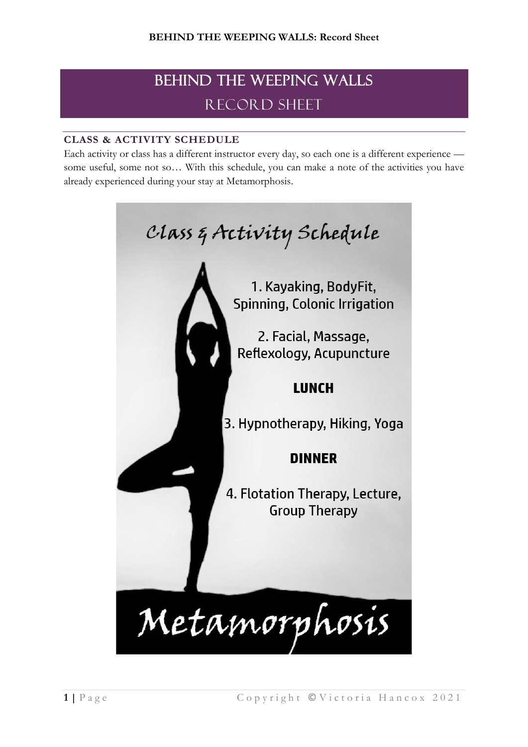# BEHIND THE WEEPING WALLS RECORD SHEET

# **CLASS & ACTIVITY SCHEDULE**

Each activity or class has a different instructor every day, so each one is a different experience some useful, some not so… With this schedule, you can make a note of the activities you have already experienced during your stay at Metamorphosis.

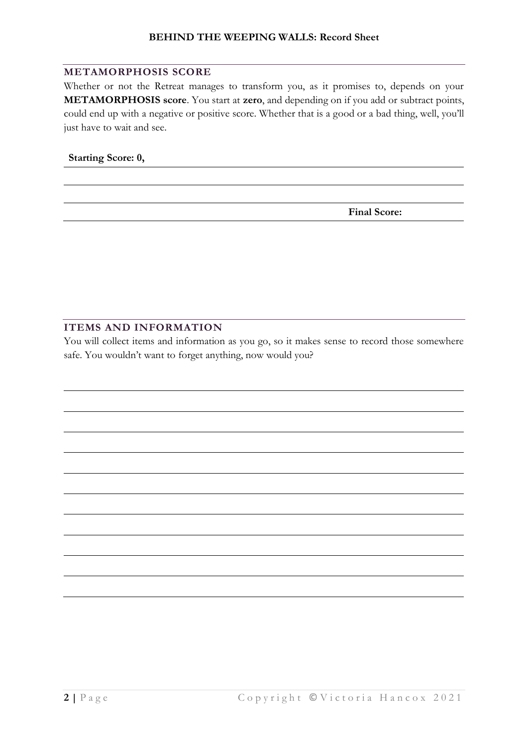#### **METAMORPHOSIS SCORE**

Whether or not the Retreat manages to transform you, as it promises to, depends on your **METAMORPHOSIS score**. You start at **zero**, and depending on if you add or subtract points, could end up with a negative or positive score. Whether that is a good or a bad thing, well, you'll just have to wait and see.

#### **Starting Score: 0,**

**Final Score:**

## **ITEMS AND INFORMATION**

You will collect items and information as you go, so it makes sense to record those somewhere safe. You wouldn't want to forget anything, now would you?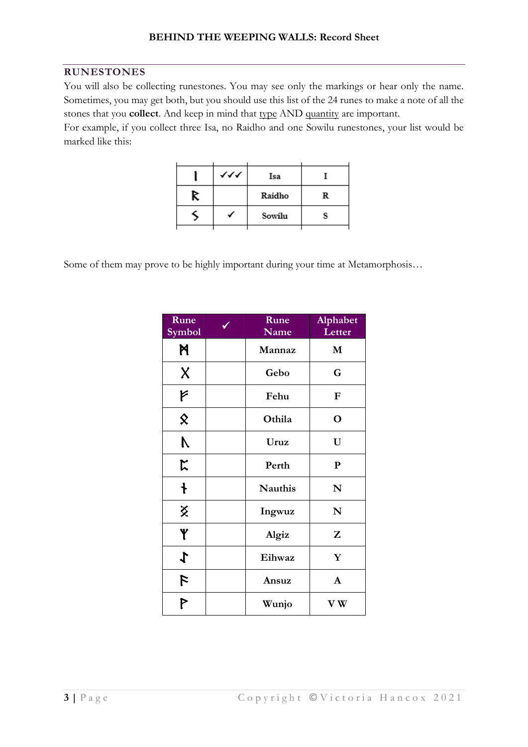#### **RUNESTONES**

You will also be collecting runestones. You may see only the markings or hear only the name. Sometimes, you may get both, but you should use this list of the 24 runes to make a note of all the stones that you **collect**. And keep in mind that type AND quantity are important.

For example, if you collect three Isa, no Raidho and one Sowilu runestones, your list would be marked like this:

|   | ィィィ | Isa    |   |
|---|-----|--------|---|
| R |     | Raidho | R |
|   |     | Sowilu |   |
|   |     |        |   |

Some of them may prove to be highly important during your time at Metamorphosis…

| Rune<br>Symbol              | Rune<br>Name                  | Alphabet<br>Letter |
|-----------------------------|-------------------------------|--------------------|
| N                           | Mannaz                        | M                  |
| $\boldsymbol{\mathsf{X}}$   | Gebo                          | G                  |
| F                           | Fehu                          | ${\bf F}$          |
| $\hat{\mathbf{x}}$          | Othila                        | $\mathbf O$        |
| $\mathcal{N}_{\mathcal{N}}$ | Uruz                          | U                  |
| $\mathsf{k}$                | Perth                         | ${\bf P}$          |
| $\ddagger$                  | <b>Nauthis</b>                | $\mathbf N$        |
| X                           | N<br>Ingwuz                   |                    |
| Y                           | Z<br>Algiz                    |                    |
| $\boldsymbol{\downarrow}$   | Eihwaz                        | Y                  |
| $\mathcal{L}$               | $\mathbf{A}$<br>Ansuz         |                    |
| P                           | ${\bf V} \, {\bf W}$<br>Wunjo |                    |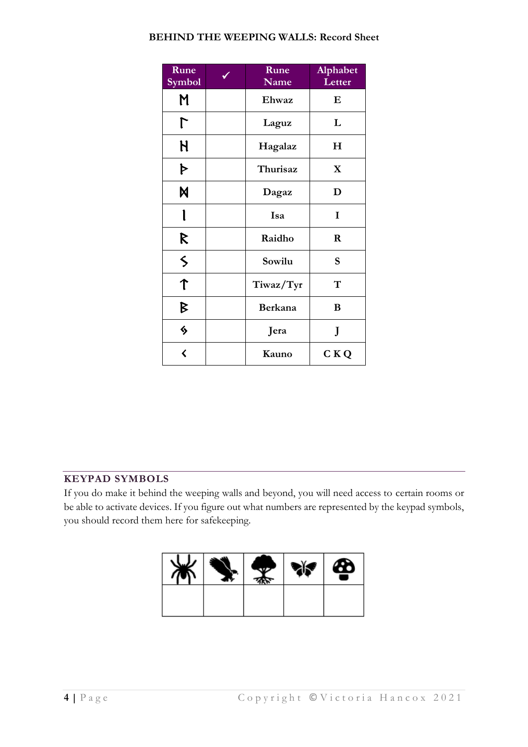#### **BEHIND THE WEEPING WALLS: Record Sheet**

| Rune<br>Symbol          | Rune<br>Name   | Alphabet<br>Letter |
|-------------------------|----------------|--------------------|
| M                       | Ehwaz          | $\bf E$            |
|                         | Laguz          | L                  |
| H                       | Hagalaz        | $H_{\rm}$          |
| Þ                       | Thurisaz       | $\mathbf X$        |
| M                       | Dagaz          | D                  |
| l                       | Isa            | I                  |
| R                       | Raidho         | $\bf R$            |
| $\leq$                  | Sowilu         | S                  |
| $\hat{\mathsf{T}}$      | Tiwaz/Tyr      | T                  |
| B                       | Berkana        | B                  |
| ♦                       | Jera           | J                  |
| $\overline{\bm{\zeta}}$ | C K Q<br>Kauno |                    |

### **KEYPAD SYMBOLS**

If you do make it behind the weeping walls and beyond, you will need access to certain rooms or be able to activate devices. If you figure out what numbers are represented by the keypad symbols, you should record them here for safekeeping.

| ₩ |  | $\mathbf{e}$ | ซ |
|---|--|--------------|---|
|   |  |              |   |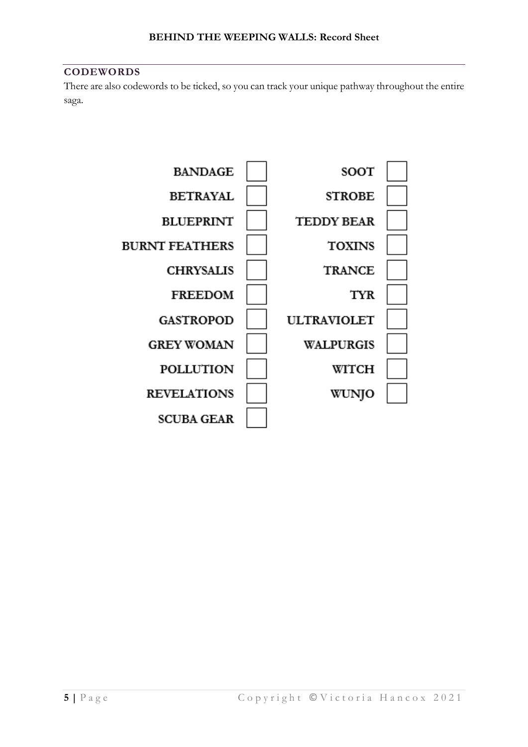#### **CODEWORDS**

There are also codewords to be ticked, so you can track your unique pathway throughout the entire saga.